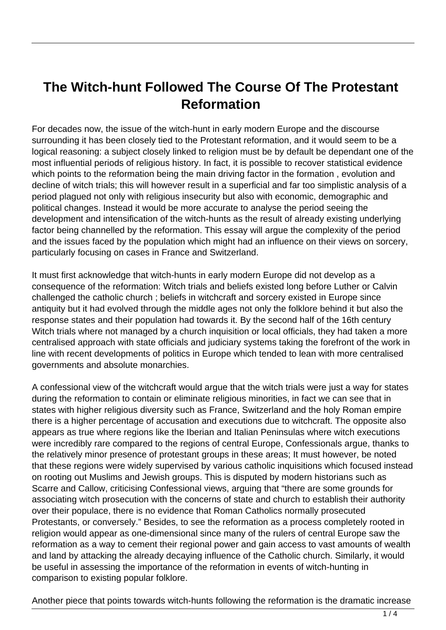## **The Witch-hunt Followed The Course Of The Protestant Reformation**

For decades now, the issue of the witch-hunt in early modern Europe and the discourse surrounding it has been closely tied to the Protestant reformation, and it would seem to be a logical reasoning: a subject closely linked to religion must be by default be dependant one of the most influential periods of religious history. In fact, it is possible to recover statistical evidence which points to the reformation being the main driving factor in the formation, evolution and decline of witch trials; this will however result in a superficial and far too simplistic analysis of a period plagued not only with religious insecurity but also with economic, demographic and political changes. Instead it would be more accurate to analyse the period seeing the development and intensification of the witch-hunts as the result of already existing underlying factor being channelled by the reformation. This essay will argue the complexity of the period and the issues faced by the population which might had an influence on their views on sorcery, particularly focusing on cases in France and Switzerland.

It must first acknowledge that witch-hunts in early modern Europe did not develop as a consequence of the reformation: Witch trials and beliefs existed long before Luther or Calvin challenged the catholic church ; beliefs in witchcraft and sorcery existed in Europe since antiquity but it had evolved through the middle ages not only the folklore behind it but also the response states and their population had towards it. By the second half of the 16th century Witch trials where not managed by a church inquisition or local officials, they had taken a more centralised approach with state officials and judiciary systems taking the forefront of the work in line with recent developments of politics in Europe which tended to lean with more centralised governments and absolute monarchies.

A confessional view of the witchcraft would argue that the witch trials were just a way for states during the reformation to contain or eliminate religious minorities, in fact we can see that in states with higher religious diversity such as France, Switzerland and the holy Roman empire there is a higher percentage of accusation and executions due to witchcraft. The opposite also appears as true where regions like the Iberian and Italian Peninsulas where witch executions were incredibly rare compared to the regions of central Europe, Confessionals argue, thanks to the relatively minor presence of protestant groups in these areas; It must however, be noted that these regions were widely supervised by various catholic inquisitions which focused instead on rooting out Muslims and Jewish groups. This is disputed by modern historians such as Scarre and Callow, criticising Confessional views, arguing that "there are some grounds for associating witch prosecution with the concerns of state and church to establish their authority over their populace, there is no evidence that Roman Catholics normally prosecuted Protestants, or conversely." Besides, to see the reformation as a process completely rooted in religion would appear as one-dimensional since many of the rulers of central Europe saw the reformation as a way to cement their regional power and gain access to vast amounts of wealth and land by attacking the already decaying influence of the Catholic church. Similarly, it would be useful in assessing the importance of the reformation in events of witch-hunting in comparison to existing popular folklore.

Another piece that points towards witch-hunts following the reformation is the dramatic increase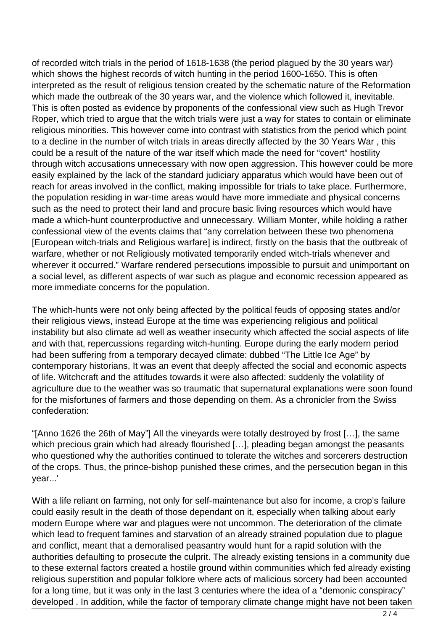of recorded witch trials in the period of 1618-1638 (the period plagued by the 30 years war) which shows the highest records of witch hunting in the period 1600-1650. This is often interpreted as the result of religious tension created by the schematic nature of the Reformation which made the outbreak of the 30 years war, and the violence which followed it, inevitable. This is often posted as evidence by proponents of the confessional view such as Hugh Trevor Roper, which tried to argue that the witch trials were just a way for states to contain or eliminate religious minorities. This however come into contrast with statistics from the period which point to a decline in the number of witch trials in areas directly affected by the 30 Years War , this could be a result of the nature of the war itself which made the need for "covert" hostility through witch accusations unnecessary with now open aggression. This however could be more easily explained by the lack of the standard judiciary apparatus which would have been out of reach for areas involved in the conflict, making impossible for trials to take place. Furthermore, the population residing in war-time areas would have more immediate and physical concerns such as the need to protect their land and procure basic living resources which would have made a which-hunt counterproductive and unnecessary. William Monter, while holding a rather confessional view of the events claims that "any correlation between these two phenomena [European witch-trials and Religious warfare] is indirect, firstly on the basis that the outbreak of warfare, whether or not Religiously motivated temporarily ended witch-trials whenever and wherever it occurred." Warfare rendered persecutions impossible to pursuit and unimportant on a social level, as different aspects of war such as plague and economic recession appeared as more immediate concerns for the population.

The which-hunts were not only being affected by the political feuds of opposing states and/or their religious views, instead Europe at the time was experiencing religious and political instability but also climate ad well as weather insecurity which affected the social aspects of life and with that, repercussions regarding witch-hunting. Europe during the early modern period had been suffering from a temporary decayed climate: dubbed "The Little Ice Age" by contemporary historians, It was an event that deeply affected the social and economic aspects of life. Witchcraft and the attitudes towards it were also affected: suddenly the volatility of agriculture due to the weather was so traumatic that supernatural explanations were soon found for the misfortunes of farmers and those depending on them. As a chronicler from the Swiss confederation:

"[Anno 1626 the 26th of May"] All the vineyards were totally destroyed by frost […], the same which precious grain which had already flourished [...], pleading began amongst the peasants who questioned why the authorities continued to tolerate the witches and sorcerers destruction of the crops. Thus, the prince-bishop punished these crimes, and the persecution began in this year...'

With a life reliant on farming, not only for self-maintenance but also for income, a crop's failure could easily result in the death of those dependant on it, especially when talking about early modern Europe where war and plagues were not uncommon. The deterioration of the climate which lead to frequent famines and starvation of an already strained population due to plague and conflict, meant that a demoralised peasantry would hunt for a rapid solution with the authorities defaulting to prosecute the culprit. The already existing tensions in a community due to these external factors created a hostile ground within communities which fed already existing religious superstition and popular folklore where acts of malicious sorcery had been accounted for a long time, but it was only in the last 3 centuries where the idea of a "demonic conspiracy" developed . In addition, while the factor of temporary climate change might have not been taken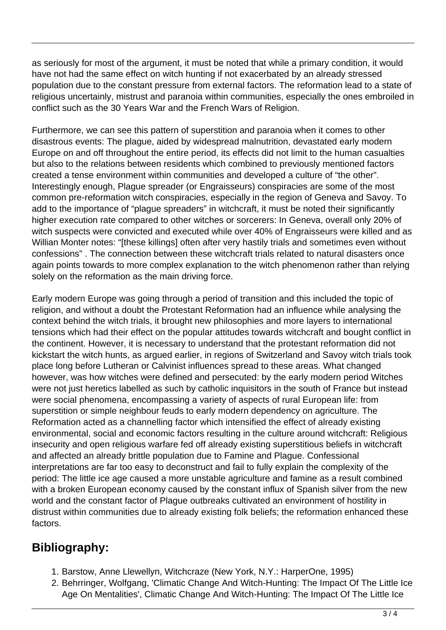as seriously for most of the argument, it must be noted that while a primary condition, it would have not had the same effect on witch hunting if not exacerbated by an already stressed population due to the constant pressure from external factors. The reformation lead to a state of religious uncertainly, mistrust and paranoia within communities, especially the ones embroiled in conflict such as the 30 Years War and the French Wars of Religion.

Furthermore, we can see this pattern of superstition and paranoia when it comes to other disastrous events: The plague, aided by widespread malnutrition, devastated early modern Europe on and off throughout the entire period, its effects did not limit to the human casualties but also to the relations between residents which combined to previously mentioned factors created a tense environment within communities and developed a culture of "the other". Interestingly enough, Plague spreader (or Engraisseurs) conspiracies are some of the most common pre-reformation witch conspiracies, especially in the region of Geneva and Savoy. To add to the importance of "plague spreaders" in witchcraft, it must be noted their significantly higher execution rate compared to other witches or sorcerers: In Geneva, overall only 20% of witch suspects were convicted and executed while over 40% of Engraisseurs were killed and as Willian Monter notes: "[these killings] often after very hastily trials and sometimes even without confessions". The connection between these witchcraft trials related to natural disasters once again points towards to more complex explanation to the witch phenomenon rather than relying solely on the reformation as the main driving force.

Early modern Europe was going through a period of transition and this included the topic of religion, and without a doubt the Protestant Reformation had an influence while analysing the context behind the witch trials, it brought new philosophies and more layers to international tensions which had their effect on the popular attitudes towards witchcraft and bought conflict in the continent. However, it is necessary to understand that the protestant reformation did not kickstart the witch hunts, as argued earlier, in regions of Switzerland and Savoy witch trials took place long before Lutheran or Calvinist influences spread to these areas. What changed however, was how witches were defined and persecuted: by the early modern period Witches were not just heretics labelled as such by catholic inquisitors in the south of France but instead were social phenomena, encompassing a variety of aspects of rural European life: from superstition or simple neighbour feuds to early modern dependency on agriculture. The Reformation acted as a channelling factor which intensified the effect of already existing environmental, social and economic factors resulting in the culture around witchcraft: Religious insecurity and open religious warfare fed off already existing superstitious beliefs in witchcraft and affected an already brittle population due to Famine and Plague. Confessional interpretations are far too easy to deconstruct and fail to fully explain the complexity of the period: The little ice age caused a more unstable agriculture and famine as a result combined with a broken European economy caused by the constant influx of Spanish silver from the new world and the constant factor of Plague outbreaks cultivated an environment of hostility in distrust within communities due to already existing folk beliefs; the reformation enhanced these factors.

## **Bibliography:**

- 1. Barstow, Anne Llewellyn, Witchcraze (New York, N.Y.: HarperOne, 1995)
- 2. Behrringer, Wolfgang, 'Climatic Change And Witch-Hunting: The Impact Of The Little Ice Age On Mentalities', Climatic Change And Witch-Hunting: The Impact Of The Little Ice